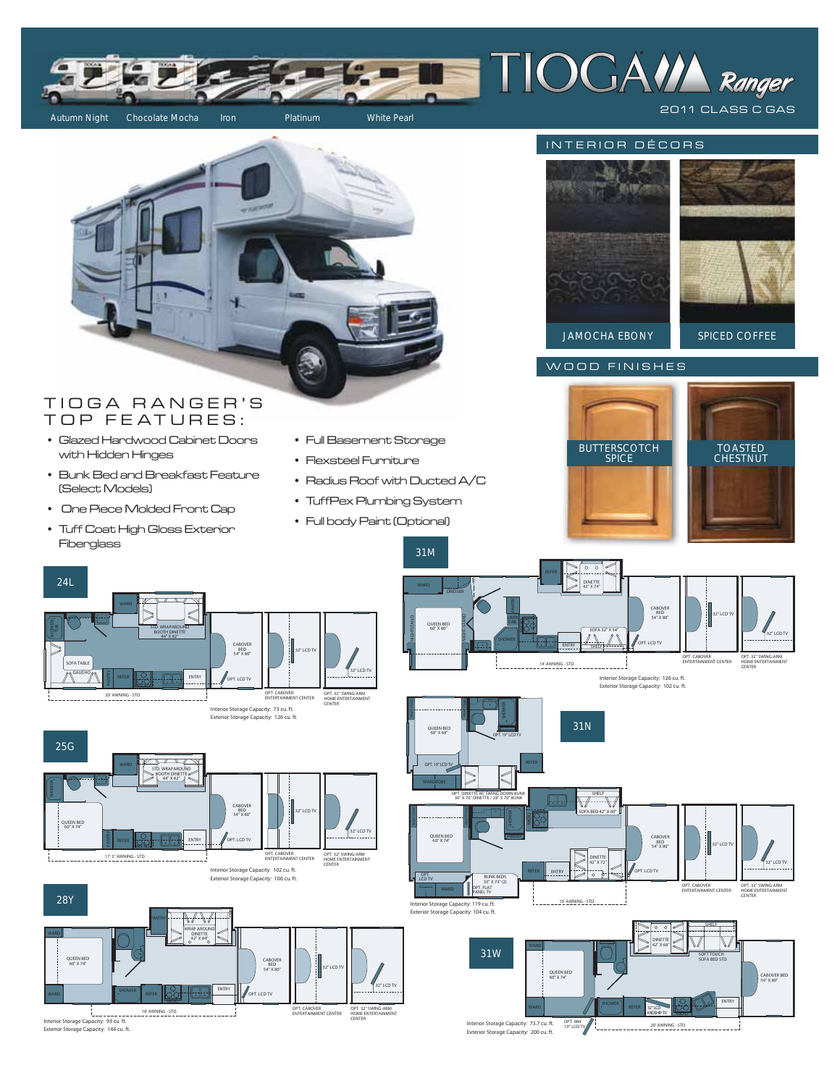



# TIOGA RANGER'S TOP FEATURES:

- Glazed Hardwood Cabinet Doors with Hidden Hinges
- Bunk Bed and Breakfast Feature (Select Models)
- One Piece Molded Front Cap
- Tuff Coat High Gloss Exterior Fiberglass
- Full Basement Storage
- Flexsteel Furniture
- Radius Roof with Ducted A/C

31M

- TuffPex Plumbing System
- Full body Paint (Optional)





WOOD FINISHES

















CENTER





10' AWNING - STD